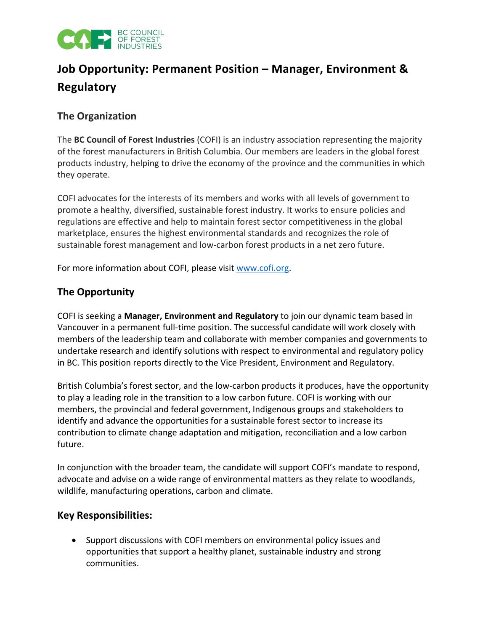

# **Job Opportunity: Permanent Position – Manager, Environment & Regulatory**

### **The Organization**

The **BC Council of Forest Industries** (COFI) is an industry association representing the majority of the forest manufacturers in British Columbia. Our members are leaders in the global forest products industry, helping to drive the economy of the province and the communities in which they operate.

COFI advocates for the interests of its members and works with all levels of government to promote a healthy, diversified, sustainable forest industry. It works to ensure policies and regulations are effective and help to maintain forest sector competitiveness in the global marketplace, ensures the highest environmental standards and recognizes the role of sustainable forest management and low-carbon forest products in a net zero future.

For more information about COFI, please visit [www.cofi.org.](http://www.cofi.org/)

# **The Opportunity**

COFI is seeking a **Manager, Environment and Regulatory** to join our dynamic team based in Vancouver in a permanent full-time position. The successful candidate will work closely with members of the leadership team and collaborate with member companies and governments to undertake research and identify solutions with respect to environmental and regulatory policy in BC. This position reports directly to the Vice President, Environment and Regulatory.

British Columbia's forest sector, and the low-carbon products it produces, have the opportunity to play a leading role in the transition to a low carbon future. COFI is working with our members, the provincial and federal government, Indigenous groups and stakeholders to identify and advance the opportunities for a sustainable forest sector to increase its contribution to climate change adaptation and mitigation, reconciliation and a low carbon future.

In conjunction with the broader team, the candidate will support COFI's mandate to respond, advocate and advise on a wide range of environmental matters as they relate to woodlands, wildlife, manufacturing operations, carbon and climate.

#### **Key Responsibilities:**

• Support discussions with COFI members on environmental policy issues and opportunities that support a healthy planet, sustainable industry and strong communities.